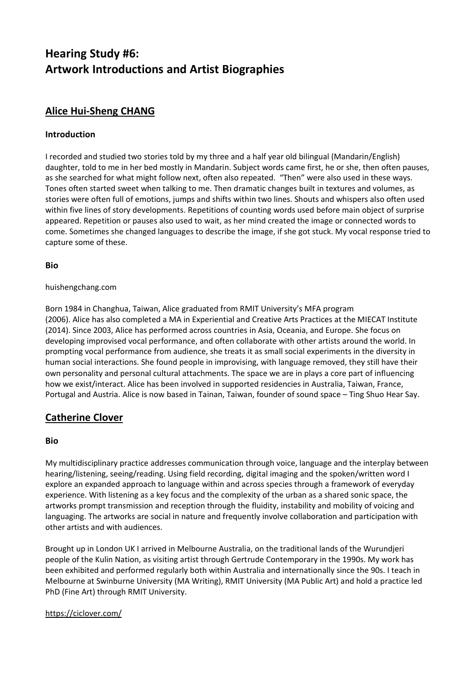# **Hearing Study #6: Artwork Introductions and Artist Biographies**

# **Alice Hui-Sheng CHANG**

### **Introduction**

I recorded and studied two stories told by my three and a half year old bilingual (Mandarin/English) daughter, told to me in her bed mostly in Mandarin. Subject words came first, he or she, then often pauses, as she searched for what might follow next, often also repeated. "Then" were also used in these ways. Tones often started sweet when talking to me. Then dramatic changes built in textures and volumes, as stories were often full of emotions, jumps and shifts within two lines. Shouts and whispers also often used within five lines of story developments. Repetitions of counting words used before main object of surprise appeared. Repetition or pauses also used to wait, as her mind created the image or connected words to come. Sometimes she changed languages to describe the image, if she got stuck. My vocal response tried to capture some of these.

#### **Bio**

#### huishengchang.com

Born 1984 in Changhua, Taiwan, Alice graduated from RMIT University's MFA program (2006). Alice has also completed a MA in Experiential and Creative Arts Practices at the MIECAT Institute (2014). Since 2003, Alice has performed across countries in Asia, Oceania, and Europe. She focus on developing improvised vocal performance, and often collaborate with other artists around the world. In prompting vocal performance from audience, she treats it as small social experiments in the diversity in human social interactions. She found people in improvising, with language removed, they still have their own personality and personal cultural attachments. The space we are in plays a core part of influencing how we exist/interact. Alice has been involved in supported residencies in Australia, Taiwan, France, Portugal and Austria. Alice is now based in Tainan, Taiwan, founder of sound space – Ting Shuo Hear Say.

# **Catherine Clover**

#### **Bio**

My multidisciplinary practice addresses communication through voice, language and the interplay between hearing/listening, seeing/reading. Using field recording, digital imaging and the spoken/written word I explore an expanded approach to language within and across species through a framework of everyday experience. With listening as a key focus and the complexity of the urban as a shared sonic space, the artworks prompt transmission and reception through the fluidity, instability and mobility of voicing and languaging. The artworks are social in nature and frequently involve collaboration and participation with other artists and with audiences.

Brought up in London UK I arrived in Melbourne Australia, on the traditional lands of the Wurundjeri people of the Kulin Nation, as visiting artist through Gertrude Contemporary in the 1990s. My work has been exhibited and performed regularly both within Australia and internationally since the 90s. I teach in Melbourne at Swinburne University (MA Writing), RMIT University (MA Public Art) and hold a practice led PhD (Fine Art) through RMIT University.

#### <https://ciclover.com/>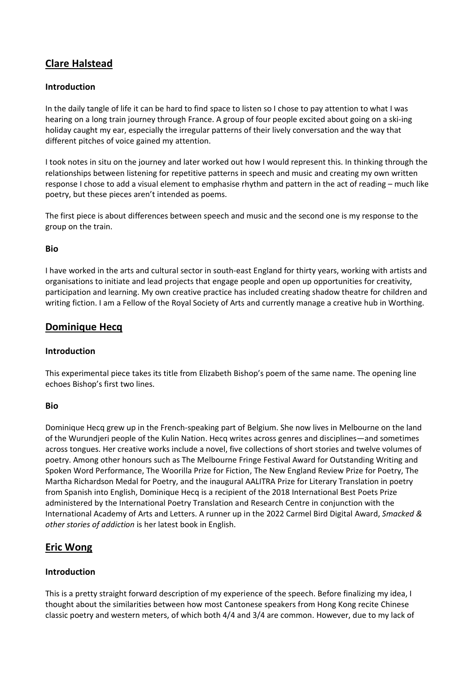# **Clare Halstead**

#### **Introduction**

In the daily tangle of life it can be hard to find space to listen so I chose to pay attention to what I was hearing on a long train journey through France. A group of four people excited about going on a ski-ing holiday caught my ear, especially the irregular patterns of their lively conversation and the way that different pitches of voice gained my attention.

I took notes in situ on the journey and later worked out how I would represent this. In thinking through the relationships between listening for repetitive patterns in speech and music and creating my own written response I chose to add a visual element to emphasise rhythm and pattern in the act of reading – much like poetry, but these pieces aren't intended as poems.

The first piece is about differences between speech and music and the second one is my response to the group on the train.

#### **Bio**

I have worked in the arts and cultural sector in south-east England for thirty years, working with artists and organisations to initiate and lead projects that engage people and open up opportunities for creativity, participation and learning. My own creative practice has included creating shadow theatre for children and writing fiction. I am a Fellow of the Royal Society of Arts and currently manage a creative hub in Worthing.

### **Dominique Hecq**

#### **Introduction**

This experimental piece takes its title from Elizabeth Bishop's poem of the same name. The opening line echoes Bishop's first two lines.

#### **Bio**

Dominique Hecq grew up in the French-speaking part of Belgium. She now lives in Melbourne on the land of the Wurundjeri people of the Kulin Nation. Hecq writes across genres and disciplines—and sometimes across tongues. Her creative works include a novel, five collections of short stories and twelve volumes of poetry. Among other honours such as The Melbourne Fringe Festival Award for Outstanding Writing and Spoken Word Performance, The Woorilla Prize for Fiction, The New England Review Prize for Poetry, The Martha Richardson Medal for Poetry, and the inaugural AALITRA Prize for Literary Translation in poetry from Spanish into English, Dominique Hecq is a recipient of the 2018 International Best Poets Prize administered by the International Poetry Translation and Research Centre in conjunction with the International Academy of Arts and Letters. A runner up in the 2022 Carmel Bird Digital Award, *Smacked & other stories of addiction* is her latest book in English.

## **Eric Wong**

#### **Introduction**

This is a pretty straight forward description of my experience of the speech. Before finalizing my idea, I thought about the similarities between how most Cantonese speakers from Hong Kong recite Chinese classic poetry and western meters, of which both 4/4 and 3/4 are common. However, due to my lack of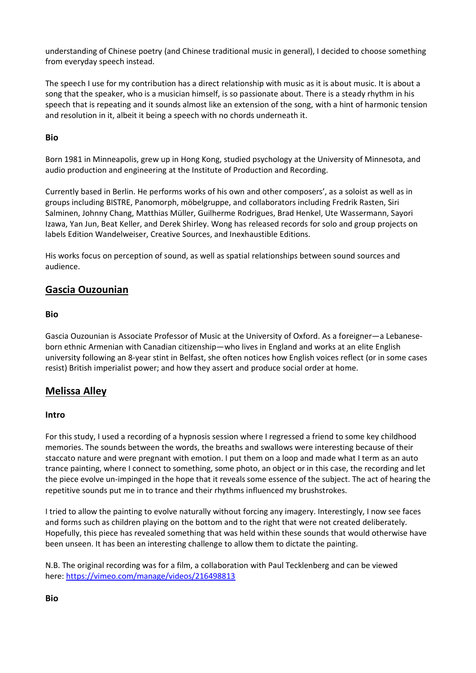understanding of Chinese poetry (and Chinese traditional music in general), I decided to choose something from everyday speech instead.

The speech I use for my contribution has a direct relationship with music as it is about music. It is about a song that the speaker, who is a musician himself, is so passionate about. There is a steady rhythm in his speech that is repeating and it sounds almost like an extension of the song, with a hint of harmonic tension and resolution in it, albeit it being a speech with no chords underneath it.

#### **Bio**

Born 1981 in Minneapolis, grew up in Hong Kong, studied psychology at the University of Minnesota, and audio production and engineering at the Institute of Production and Recording.

Currently based in Berlin. He performs works of his own and other composers', as a soloist as well as in groups including BISTRE, Panomorph, möbelgruppe, and collaborators including Fredrik Rasten, Siri Salminen, Johnny Chang, Matthias Müller, Guilherme Rodrigues, Brad Henkel, Ute Wassermann, Sayori Izawa, Yan Jun, Beat Keller, and Derek Shirley. Wong has released records for solo and group projects on labels Edition Wandelweiser, Creative Sources, and Inexhaustible Editions.

His works focus on perception of sound, as well as spatial relationships between sound sources and audience.

# **Gascia Ouzounian**

#### **Bio**

Gascia Ouzounian is Associate Professor of Music at the University of Oxford. As a foreigner—a Lebaneseborn ethnic Armenian with Canadian citizenship—who lives in England and works at an elite English university following an 8-year stint in Belfast, she often notices how English voices reflect (or in some cases resist) British imperialist power; and how they assert and produce social order at home.

## **Melissa Alley**

#### **Intro**

For this study, I used a recording of a hypnosis session where I regressed a friend to some key childhood memories. The sounds between the words, the breaths and swallows were interesting because of their staccato nature and were pregnant with emotion. I put them on a loop and made what I term as an auto trance painting, where I connect to something, some photo, an object or in this case, the recording and let the piece evolve un-impinged in the hope that it reveals some essence of the subject. The act of hearing the repetitive sounds put me in to trance and their rhythms influenced my brushstrokes.

I tried to allow the painting to evolve naturally without forcing any imagery. Interestingly, I now see faces and forms such as children playing on the bottom and to the right that were not created deliberately. Hopefully, this piece has revealed something that was held within these sounds that would otherwise have been unseen. It has been an interesting challenge to allow them to dictate the painting.

N.B. The original recording was for a film, a collaboration with Paul Tecklenberg and can be viewed here: <https://vimeo.com/manage/videos/216498813>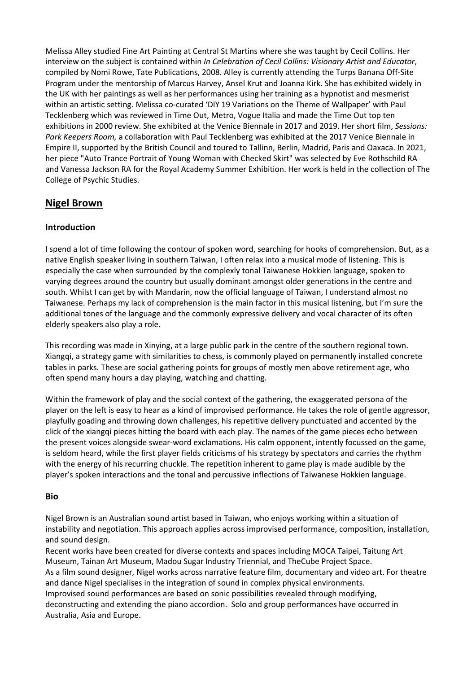Melissa Alley studied Fine Art Painting at Central St Martins where she was taught by Cecil Collins. Her interview on the subject is contained within *In Celebration of Cecil Collins: Visionary Artist and Educator*, compiled by Nomi Rowe, Tate Publications, 2008. Alley is currently attending the Turps Banana Off-Site Program under the mentorship of Marcus Harvey, Ansel Krut and Joanna Kirk. She has exhibited widely in the UK with her paintings as well as her performances using her training as a hypnotist and mesmerist within an artistic setting. Melissa co-curated 'DIY 19 Variations on the Theme of Wallpaper' with Paul Tecklenberg which was reviewed in Time Out, Metro, Vogue Italia and made the Time Out top ten exhibitions in 2000 review. She exhibited at the Venice Biennale in 2017 and 2019. Her short film, *Sessions: Park Keepers Room,* a collaboration with Paul Tecklenberg was exhibited at the 2017 Venice Biennale in Empire II, supported by the British Council and toured to Tallinn, Berlin, Madrid, Paris and Oaxaca. In 2021, her piece "Auto Trance Portrait of Young Woman with Checked Skirt" was selected by Eve Rothschild RA and Vanessa Jackson RA for the Royal Academy Summer Exhibition. Her work is held in the collection of The College of Psychic Studies.

# **Nigel Brown**

#### **Introduction**

I spend a lot of time following the contour of spoken word, searching for hooks of comprehension. But, as a native English speaker living in southern Taiwan, I often relax into a musical mode of listening. This is especially the case when surrounded by the complexly tonal Taiwanese Hokkien language, spoken to varying degrees around the country but usually dominant amongst older generations in the centre and south. Whilst I can get by with Mandarin, now the official language of Taiwan, I understand almost no Taiwanese. Perhaps my lack of comprehension is the main factor in this musical listening, but I'm sure the additional tones of the language and the commonly expressive delivery and vocal character of its often elderly speakers also play a role.

This recording was made in Xinying, at a large public park in the centre of the southern regional town. Xiangqi, a strategy game with similarities to chess, is commonly played on permanently installed concrete tables in parks. These are social gathering points for groups of mostly men above retirement age, who often spend many hours a day playing, watching and chatting.

Within the framework of play and the social context of the gathering, the exaggerated persona of the player on the left is easy to hear as a kind of improvised performance. He takes the role of gentle aggressor, playfully goading and throwing down challenges, his repetitive delivery punctuated and accented by the click of the xiangqi pieces hitting the board with each play. The names of the game pieces echo between the present voices alongside swear-word exclamations. His calm opponent, intently focussed on the game, is seldom heard, while the first player fields criticisms of his strategy by spectators and carries the rhythm with the energy of his recurring chuckle. The repetition inherent to game play is made audible by the player's spoken interactions and the tonal and percussive inflections of Taiwanese Hokkien language.

#### **Bio**

Nigel Brown is an Australian sound artist based in Taiwan, who enjoys working within a situation of instability and negotiation. This approach applies across improvised performance, composition, installation, and sound design.

Recent works have been created for diverse contexts and spaces including MOCA Taipei, Taitung Art Museum, Tainan Art Museum, Madou Sugar Industry Triennial, and TheCube Project Space. As a film sound designer, Nigel works across narrative feature film, documentary and video art. For theatre and dance Nigel specialises in the integration of sound in complex physical environments. Improvised sound performances are based on sonic possibilities revealed through modifying, deconstructing and extending the piano accordion. Solo and group performances have occurred in Australia, Asia and Europe.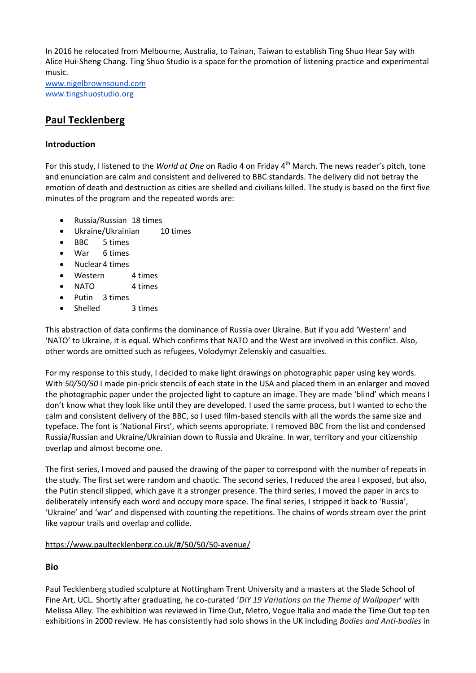In 2016 he relocated from Melbourne, Australia, to Tainan, Taiwan to establish Ting Shuo Hear Say with Alice Hui-Sheng Chang. Ting Shuo Studio is a space for the promotion of listening practice and experimental music.

[www.nigelbrownsound.com](http://www.nigelbrownsound.com/) [www.tingshuostudio.org](http://www.tingshuostudio.org/)

# **Paul Tecklenberg**

#### **Introduction**

For this study, I listened to the *World at One* on Radio 4 on Friday 4 th March. The news reader's pitch, tone and enunciation are calm and consistent and delivered to BBC standards. The delivery did not betray the emotion of death and destruction as cities are shelled and civilians killed. The study is based on the first five minutes of the program and the repeated words are:

- Russia/Russian 18 times
- Ukraine/Ukrainian 10 times
- BBC 5 times
- War 6 times
- Nuclear 4 times
- Western 4 times
- NATO 4 times
- Putin 3 times
- Shelled 3 times

This abstraction of data confirms the dominance of Russia over Ukraine. But if you add 'Western' and 'NATO' to Ukraine, it is equal. Which confirms that NATO and the West are involved in this conflict. Also, other words are omitted such as refugees, Volodymyr Zelenskiy and casualties.

For my response to this study, I decided to make light drawings on photographic paper using key words. With *50/50/50* I made pin-prick stencils of each state in the USA and placed them in an enlarger and moved the photographic paper under the projected light to capture an image. They are made 'blind' which means I don't know what they look like until they are developed. I used the same process, but I wanted to echo the calm and consistent delivery of the BBC, so I used film-based stencils with all the words the same size and typeface. The font is 'National First', which seems appropriate. I removed BBC from the list and condensed Russia/Russian and Ukraine/Ukrainian down to Russia and Ukraine. In war, territory and your citizenship overlap and almost become one.

The first series, I moved and paused the drawing of the paper to correspond with the number of repeats in the study. The first set were random and chaotic. The second series, I reduced the area I exposed, but also, the Putin stencil slipped, which gave it a stronger presence. The third series, I moved the paper in arcs to deliberately intensify each word and occupy more space. The final series, I stripped it back to 'Russia', 'Ukraine' and 'war' and dispensed with counting the repetitions. The chains of words stream over the print like vapour trails and overlap and collide.

#### <https://www.paultecklenberg.co.uk/#/50/50/50-avenue/>

## **Bio**

Paul Tecklenberg studied sculpture at Nottingham Trent University and a masters at the Slade School of Fine Art, UCL. Shortly after graduating, he co-curated '*DIY 19 Variations on the Theme of Wallpaper*' with Melissa Alley. The exhibition was reviewed in Time Out, Metro, Vogue Italia and made the Time Out top ten exhibitions in 2000 review. He has consistently had solo shows in the UK including *Bodies and Anti-bodies* in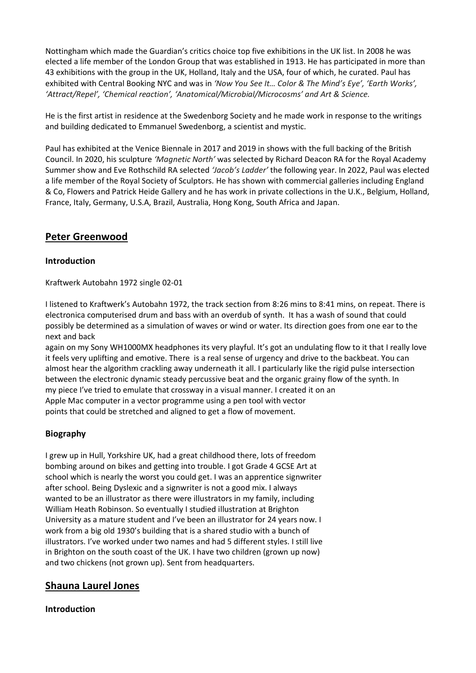Nottingham which made the Guardian's critics choice top five exhibitions in the UK list. In 2008 he was elected a life member of the London Group that was established in 1913. He has participated in more than 43 exhibitions with the group in the UK, Holland, Italy and the USA, four of which, he curated. Paul has exhibited with Central Booking NYC and was in *'Now You See It… Color & The Mind's Eye', 'Earth Works', 'Attract/Repel', 'Chemical reaction', 'Anatomical/Microbial/Microcosms' and Art & Science.*

He is the first artist in residence at the Swedenborg Society and he made work in response to the writings and building dedicated to Emmanuel Swedenborg, a scientist and mystic.

Paul has exhibited at the Venice Biennale in 2017 and 2019 in shows with the full backing of the British Council. In 2020, his sculpture *'Magnetic North'* was selected by Richard Deacon RA for the Royal Academy Summer show and Eve Rothschild RA selected *'Jacob's Ladder'* the following year. In 2022, Paul was elected a life member of the Royal Society of Sculptors. He has shown with commercial galleries including England & Co, Flowers and Patrick Heide Gallery and he has work in private collections in the U.K., Belgium, Holland, France, Italy, Germany, U.S.A, Brazil, Australia, Hong Kong, South Africa and Japan.

# **Peter Greenwood**

#### **Introduction**

Kraftwerk Autobahn 1972 single 02-01

I listened to Kraftwerk's Autobahn 1972, the track section from 8:26 mins to 8:41 mins, on repeat. There is electronica computerised drum and bass with an overdub of synth. It has a wash of sound that could possibly be determined as a simulation of waves or wind or water. Its direction goes from one ear to the next and back

again on my Sony WH1000MX headphones its very playful. It's got an undulating flow to it that I really love it feels very uplifting and emotive. There is a real sense of urgency and drive to the backbeat. You can almost hear the algorithm crackling away underneath it all. I particularly like the rigid pulse intersection between the electronic dynamic steady percussive beat and the organic grainy flow of the synth. In my piece I've tried to emulate that crossway in a visual manner. I created it on an Apple Mac computer in a vector programme using a pen tool with vector points that could be stretched and aligned to get a flow of movement.

## **Biography**

I grew up in Hull, Yorkshire UK, had a great childhood there, lots of freedom bombing around on bikes and getting into trouble. I got Grade 4 GCSE Art at school which is nearly the worst you could get. I was an apprentice signwriter after school. Being Dyslexic and a signwriter is not a good mix. I always wanted to be an illustrator as there were illustrators in my family, including William Heath Robinson. So eventually I studied illustration at Brighton University as a mature student and I've been an illustrator for 24 years now. I work from a big old 1930's building that is a shared studio with a bunch of illustrators. I've worked under two names and had 5 different styles. I still live in Brighton on the south coast of the UK. I have two children (grown up now) and two chickens (not grown up). Sent from headquarters.

# **Shauna Laurel Jones**

#### **Introduction**